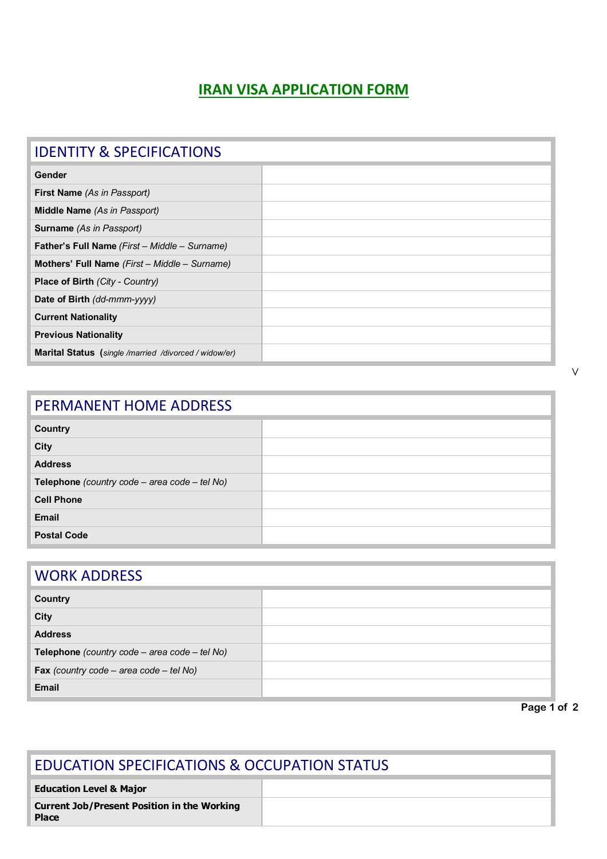## **IRAN VISA APPLICATION FORM**

| <b>IDENTITY &amp; SPECIFICATIONS</b>                         |  |
|--------------------------------------------------------------|--|
| Gender                                                       |  |
| <b>First Name</b> (As in Passport)                           |  |
| <b>Middle Name</b> (As in Passport)                          |  |
| <b>Surname</b> (As in Passport)                              |  |
| <b>Father's Full Name</b> (First – Middle – Surname)         |  |
| <b>Mothers' Full Name</b> (First – Middle – Surname)         |  |
| <b>Place of Birth (City - Country)</b>                       |  |
| Date of Birth (dd-mmm-yyyy)                                  |  |
| <b>Current Nationality</b>                                   |  |
| <b>Previous Nationality</b>                                  |  |
| <b>Marital Status</b> (single /married /divorced / widow/er) |  |

| PERMANENT HOME ADDRESS                           |  |  |
|--------------------------------------------------|--|--|
| <b>Country</b>                                   |  |  |
| <b>City</b>                                      |  |  |
| <b>Address</b>                                   |  |  |
| Telephone (country code – area code – tel $No$ ) |  |  |
| <b>Cell Phone</b>                                |  |  |
| <b>Email</b>                                     |  |  |
| <b>Postal Code</b>                               |  |  |

## WORK ADDRESS

| <b>Country</b>                                 |  |
|------------------------------------------------|--|
| City                                           |  |
| <b>Address</b>                                 |  |
| Telephone (country code - area code - tel No)  |  |
| <b>Fax</b> (country code – area code – tel No) |  |
| <b>Email</b>                                   |  |

**Page 1 of 2** 

| <b>EDUCATION SPECIFICATIONS &amp; OCCUPATION STATUS</b>            |  |  |
|--------------------------------------------------------------------|--|--|
| <b>Education Level &amp; Major</b>                                 |  |  |
| <b>Current Job/Present Position in the Working</b><br><b>Place</b> |  |  |

V